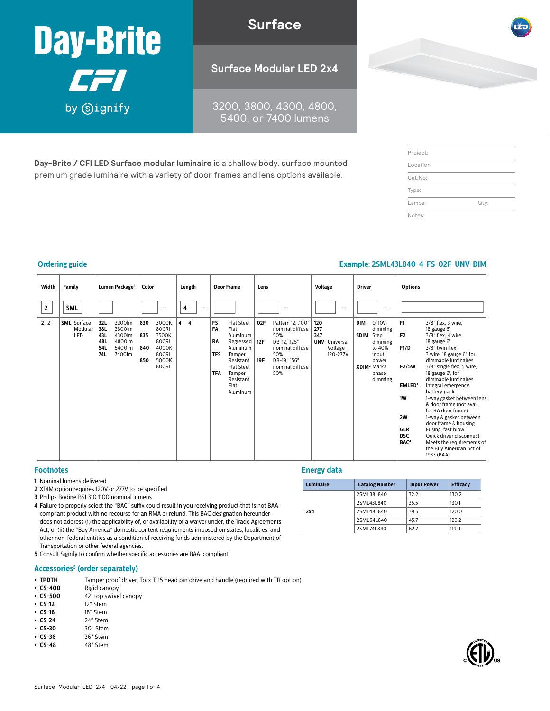

**Surface**

3200, 3800, 4300, 4800, 5400, or 7400 lumens

**Day-Brite / CFI LED Surface modular luminaire** is a shallow body, surface mounted premium grade luminaire with a variety of door frames and lens options available.

| Project:  |      |
|-----------|------|
| Location: |      |
| Cat.No:   |      |
| Type:     |      |
| Lamps:    | Qty: |
| Notes:    |      |

#### **Ordering guide Example: 2SML43L840-4-FS-02F-UNV-DIM**

| Width        | Family                               | Lumen Package <sup>1</sup>                                                                         | Color                                                                                                | Length  | <b>Door Frame</b>                                                                                                                                                                                                 | Lens                                                                                                                                                 | <b>Voltage</b>                                                   | <b>Driver</b>                                                                                                                            | <b>Options</b>                                                                                                                                                                                                                                                                                                                                                                                                                                                                                                                                                                                                                                           |
|--------------|--------------------------------------|----------------------------------------------------------------------------------------------------|------------------------------------------------------------------------------------------------------|---------|-------------------------------------------------------------------------------------------------------------------------------------------------------------------------------------------------------------------|------------------------------------------------------------------------------------------------------------------------------------------------------|------------------------------------------------------------------|------------------------------------------------------------------------------------------------------------------------------------------|----------------------------------------------------------------------------------------------------------------------------------------------------------------------------------------------------------------------------------------------------------------------------------------------------------------------------------------------------------------------------------------------------------------------------------------------------------------------------------------------------------------------------------------------------------------------------------------------------------------------------------------------------------|
| $\mathbf{2}$ | <b>SML</b>                           |                                                                                                    | -                                                                                                    | 4<br>-  |                                                                                                                                                                                                                   |                                                                                                                                                      | -                                                                | -                                                                                                                                        |                                                                                                                                                                                                                                                                                                                                                                                                                                                                                                                                                                                                                                                          |
| $2^{2}$      | <b>SML</b> Surface<br>Modular<br>LED | 32L<br>3200lm<br>3800lm<br>38L<br>43L<br>4300lm<br>4800lm<br>48L<br>54L<br>5400lm<br>7400lm<br>74L | 3000K,<br>830<br>80CRI<br>835<br>3500K,<br>80CRI<br>840<br>4000K.<br>80CRI<br>5000K,<br>850<br>80CRI | 4'<br>4 | <b>FS</b><br><b>Flat Steel</b><br>FA<br>Flat<br>Aluminum<br><b>RA</b><br>Regressed<br>Aluminum<br><b>TFS</b><br>Tamper<br>Resistant<br><b>Flat Steel</b><br><b>TFA</b><br>Tamper<br>Resistant<br>Flat<br>Aluminum | 02F<br>Pattern 12, .100"<br>nominal diffuse<br>50%<br>12F<br>DB-12, .125"<br>nominal diffuse<br>50%<br>DB-19, .156"<br>19F<br>nominal diffuse<br>50% | 120<br>277<br>347<br><b>UNV</b> Universal<br>Voltage<br>120-277V | <b>DIM</b><br>$0 - 10V$<br>dimming<br>SDIM<br>Step<br>dimming<br>to 40%<br>input<br>power<br>XDIM <sup>2</sup> MarkX<br>phase<br>dimming | F <sub>1</sub><br>3/8" flex, 3 wire,<br>18 gauge 6'<br>F <sub>2</sub><br>3/8" flex, 4 wire,<br>18 gauge 6'<br>F1/D<br>3/8" twin flex,<br>3 wire, 18 gauge 6', for<br>dimmable luminaires<br>3/8" single flex, 5 wire,<br>F2/5W<br>18 gauge 6', for<br>dimmable luminaires<br>EMLED <sup>3</sup><br>Integral emergency<br>battery pack<br>1W<br>1-way gasket between lens<br>& door frame (not avail.<br>for RA door frame)<br>2W<br>1-way & gasket between<br>door frame & housing<br><b>GLR</b><br>Fusing, fast blow<br><b>DSC</b><br>Quick driver disconnect<br>BAC <sup>4</sup><br>Meets the requirements of<br>the Buy American Act of<br>1933 (BAA) |

#### **Footnotes**

- **1** Nominal lumens delivered
- **2** XDIM option requires 120V or 277V to be specified
- **3** Philips Bodine BSL310 1100 nominal lumens
- **4** Failure to properly select the "BAC" suffix could result in you receiving product that is not BAA compliant product with no recourse for an RMA or refund. This BAC designation hereunder does not address (i) the applicability of, or availability of a waiver under, the Trade Agreements Act, or (ii) the "Buy America" domestic content requirements imposed on states, localities, and other non-federal entities as a condition of receiving funds administered by the Department of Transportation or other federal agencies.
- **5** Consult Signify to confirm whether specific accessories are BAA-compliant.

#### **Accessories5 (order separately)**

- **TPDTH** Tamper proof driver, Torx T-15 head pin drive and handle (required with TR option)  **CS-400** Rigid canopy
- **CS-400** Rigid canopy<br>• **CS-500** 42° top swive
- **CS-500** 42° top swivel canopy<br>• **CS-12** 12" Stem
- **• CS-12** 12" Stem
- **• CS-18** 18" Stem
- **CS-24** 24" Stem<br>• **CS-30** 30" Stem **• CS-30** 30" Stem
- 
- **• CS-36** 36" Stem<br> **CS-48** 48" Stem **• CS-48** 48" Stem

#### **Energy data**

| Luminaire | <b>Catalog Number</b> | <b>Input Power</b> | <b>Efficacy</b> |  |  |
|-----------|-----------------------|--------------------|-----------------|--|--|
|           | 2SML38L840            | 32.2               | 130.2           |  |  |
|           | 2SML43L840            | 35.5               | 130.1           |  |  |
| 2x4       | 2SML48L840            | 39.5               | 120.0           |  |  |
|           | 2SML54L840            | 45.7               | 129.2           |  |  |
|           | 2SML74L840            | 62.7               | 119.9           |  |  |

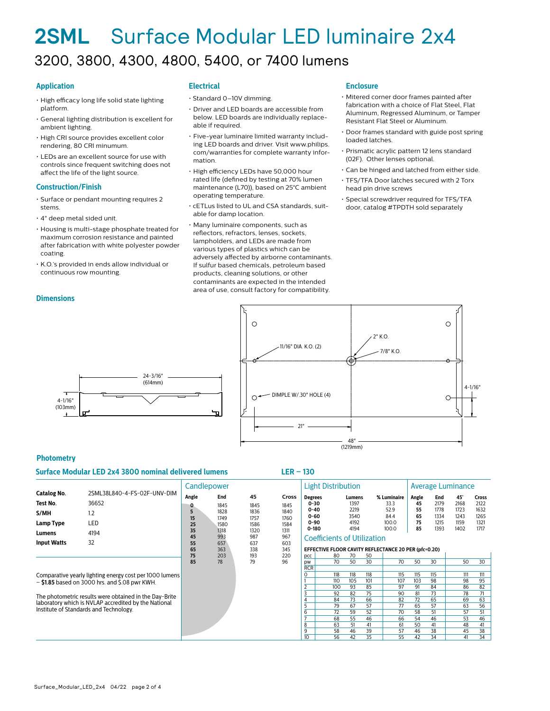### **2SML** Surface Modular LED luminaire 2x4 3200, 3800, 4300, 4800, 5400, or 7400 lumens

#### **Application**

- High efficacy long life solid state lighting platform.
- General lighting distribution is excellent for ambient lighting.
- High CRI source provides excellent color rendering, 80 CRI minumum.
- LEDs are an excellent source for use with controls since frequent switching does not affect the life of the light source.

#### **Construction/Finish**

- Surface or pendant mounting requires 2 stems.
- 4" deep metal sided unit.
- Housing is multi-stage phosphate treated for maximum corrosion resistance and painted after fabrication with white polyester powder coating.
- K.O.'s provided in ends allow individual or continuous row mounting.

#### **Dimensions**

#### **Electrical**

- Standard 0–10V dimming.
- Driver and LED boards are accessible from below. LED boards are individually replaceable if required.
- Five-year luminaire limited warranty including LED boards and driver. Visit www.philips. com/warranties for complete warranty information.
- High efficiency LEDs have 50,000 hour rated life (defined by testing at 70% lumen maintenance (L70)), based on 25°C ambient operating temperature.
- cETLus listed to UL and CSA standards, suitable for damp location.
- Many luminaire components, such as reflectors, refractors, lenses, sockets, lampholders, and LEDs are made from various types of plastics which can be adversely affected by airborne contaminants. If sulfur based chemicals, petroleum based products, cleaning solutions, or other contaminants are expected in the intended area of use, consult factory for compatibility.

#### **Enclosure**

- Mitered corner door frames painted after fabrication with a choice of Flat Steel, Flat Aluminum, Regressed Aluminum, or Tamper Resistant Flat Steel or Aluminum.
- Door frames standard with guide post spring loaded latches.
- Prismatic acrylic pattern 12 lens standard (02F). Other lenses optional.
- Can be hinged and latched from either side.
- TFS/TFA Door latches secured with 2 Torx head pin drive screws
- Special screwdriver required for TFS/TFA door, catalog #TPDTH sold separately



#### **Photometry**

4-1/16" (103mm)

#### **Surface Modular LED 2x4 3800 nominal delivered lumens LER – 130**

24-3/16" (614mm)

|                                                                                                                                                                                                                               |                                                            |                                    | Candlepower                                        |                                                   |                                                      |                                                                             | <b>Light Distribution</b>                                        |                                                |                                  |                                                       |                                     | <b>Average Luminance</b>                    |                                             |                                                      |  |  |
|-------------------------------------------------------------------------------------------------------------------------------------------------------------------------------------------------------------------------------|------------------------------------------------------------|------------------------------------|----------------------------------------------------|---------------------------------------------------|------------------------------------------------------|-----------------------------------------------------------------------------|------------------------------------------------------------------|------------------------------------------------|----------------------------------|-------------------------------------------------------|-------------------------------------|---------------------------------------------|---------------------------------------------|------------------------------------------------------|--|--|
| Catalog No.<br>Test No.<br>S/MH<br>Lamp Type<br>Lumens                                                                                                                                                                        | 2SML38L840-4-FS-02F-UNV-DIM<br>36652<br>1.2<br>LED<br>4194 | Angle<br>5<br>15<br>25<br>35<br>45 | End<br>1845<br>1828<br>1749<br>1580<br>1318<br>993 | 45<br>1845<br>1836<br>1757<br>1586<br>1320<br>987 | Cross<br>1845<br>1840<br>1760<br>1584<br>1311<br>967 | <b>Degrees</b><br>$0 - 30$<br>$0 - 40$<br>$0 - 60$<br>$0 - 90$<br>$0 - 180$ | <b>Coefficients of Utilization</b>                               | Lumens<br>1397<br>2219<br>3540<br>4192<br>4194 |                                  | % Luminaire<br>33.3<br>52.9<br>84.4<br>100.0<br>100.0 | Angle<br>45<br>55<br>65<br>75<br>85 | End<br>2179<br>1778<br>1334<br>1215<br>1393 | 45°<br>2168<br>1723<br>1243<br>1159<br>1402 | <b>Cross</b><br>2122<br>1632<br>1265<br>1321<br>1717 |  |  |
| <b>Input Watts</b>                                                                                                                                                                                                            | 32                                                         | 55<br>65<br>75<br>85               | 657<br>363<br>203<br>78                            | 637<br>338<br>193<br>79                           | 603<br>345<br>220<br>96                              | pcc<br>pw                                                                   | EFFECTIVE FLOOR CAVITY REFLECTANCE 20 PER (pfc=0.20)<br>80<br>70 | 70<br>50                                       | 50<br>30                         | 70                                                    | 50                                  | 30                                          | 50                                          | 30                                                   |  |  |
| Comparative yearly lighting energy cost per 1000 lumens<br>$-$ \$1.85 based on 3000 hrs. and \$.08 pwr KWH.<br>The photometric results were obtained in the Day-Brite<br>laboratory which is NVLAP accredited by the National |                                                            |                                    |                                                    |                                                   | <b>RCR</b><br>ი                                      | 118<br>110<br>100<br>92<br>84                                               | 118<br>105<br>93<br>82<br>73                                     | 118<br>101<br>85<br>75<br>66                   | 115<br>107<br>97<br>90<br>82     | 115<br>103<br>91<br>81<br>72                          | 115<br>98<br>84<br>73<br>65         | 111<br>98<br>86<br>78<br>69                 | 111<br>95<br>82<br>71<br>63                 |                                                      |  |  |
| Institute of Standards and Technology.                                                                                                                                                                                        |                                                            |                                    |                                                    |                                                   | 6<br>8<br>9<br>10 <sup>10</sup>                      | 79<br>72<br>68<br>63<br>58<br>56                                            | 67<br>59<br>55<br>51<br>46<br>42                                 | 57<br>52<br>46<br>41<br>39<br>35               | 77<br>70<br>66<br>61<br>57<br>55 | 65<br>58<br>54<br>50<br>46<br>42                      | 57<br>51<br>46<br>41<br>38<br>34    | 63<br>57<br>53<br>48<br>45<br>41            | 56<br>51<br>46<br>41<br>38<br>34            |                                                      |  |  |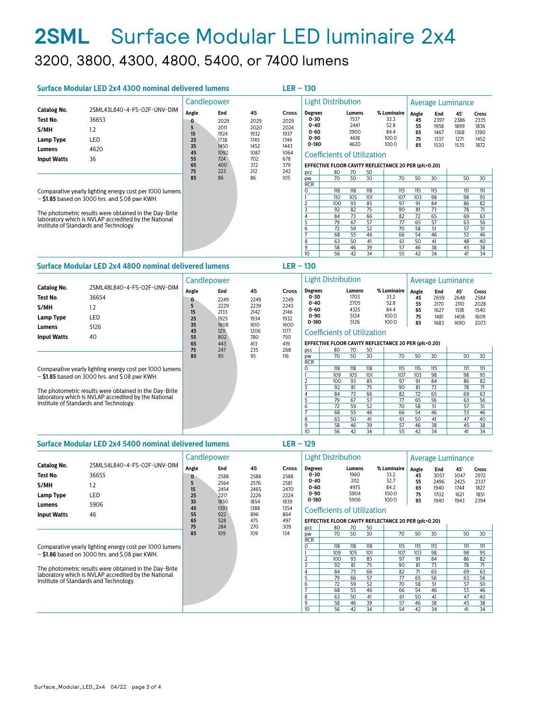### **2SML** Surface Modular LED luminaire 2x4 3200, 3800, 4300, 4800, 5400, or 7400 lumens

| Surface Modular LED 2x4 4300 nominal delivered lumens<br>$LER - 130$ |                                                         |             |              |              |              |                           |                                                      |              |          |                       |                   |                       |              |              |  |  |
|----------------------------------------------------------------------|---------------------------------------------------------|-------------|--------------|--------------|--------------|---------------------------|------------------------------------------------------|--------------|----------|-----------------------|-------------------|-----------------------|--------------|--------------|--|--|
|                                                                      |                                                         | Candlepower |              |              |              | <b>Light Distribution</b> |                                                      |              |          |                       | Average Luminance |                       |              |              |  |  |
| Catalog No.                                                          | 2SML43L840-4-FS-02F-UNV-DIM                             | Angle       | 45<br>End    |              | <b>Cross</b> | <b>Degrees</b>            |                                                      | Lumens       |          | % Luminaire           | Angle             | End                   | 45°          | Cross        |  |  |
| Test No.                                                             | 36653                                                   | 0           | 2029         | 2029         | 2029         | $0 - 30$                  |                                                      | 1537         |          | 33.3                  | 45                | 2397                  | 2386         | 2335         |  |  |
| S/MH                                                                 | 1.2                                                     | 5<br>15     | 2011<br>1924 | 2020<br>1932 | 2024<br>1937 | $0 - 40$<br>$0 - 60$      |                                                      | 2441<br>3900 |          | 52.8<br>84.4          | 55<br>65          | 1958<br>1467          | 1899<br>1368 | 1836<br>1390 |  |  |
| Lamp Type                                                            | LED                                                     | 25          | 1738         | 1745         | 1744         | $0 - 90$                  |                                                      | 4618         |          | 100.0                 | 75                | 1337                  | 1271         | 1452         |  |  |
| Lumens                                                               | 4620                                                    | 35<br>45    | 1450<br>1092 | 1452<br>1087 | 1443<br>1064 | $0 - 180$                 |                                                      | 4620         |          | 100.0                 | 85                | 1530                  | 1535         | 1872         |  |  |
| <b>Input Watts</b>                                                   | 36                                                      | 55          | 724          | 702          | 678          |                           | <b>Coefficients of Utilization</b>                   |              |          |                       |                   |                       |              |              |  |  |
|                                                                      |                                                         | 65          | 400          | 372          | 379          |                           | EFFECTIVE FLOOR CAVITY REFLECTANCE 20 PER (pfc=0.20) |              |          |                       |                   |                       |              |              |  |  |
|                                                                      |                                                         | 75          | 223          | 212          | 242          | pcc                       | 80                                                   | 70           | 50       |                       |                   |                       |              |              |  |  |
|                                                                      |                                                         | 85          | 86           | 86           | 105          | pw                        | 70                                                   | 50           | 30       | 70                    | 50                | 30                    | 50           | 30           |  |  |
|                                                                      |                                                         |             |              |              |              | <b>RCR</b>                |                                                      |              |          |                       |                   |                       |              |              |  |  |
|                                                                      | Comparative yearly lighting energy cost per 1000 lumens |             |              |              |              |                           | 118                                                  | 118          | 118      | 115                   | 115               | 115                   | 111          | 111          |  |  |
|                                                                      | $-$ \$1.85 based on 3000 hrs. and \$.08 pwr KWH.        |             |              |              |              |                           | 110                                                  | 105          | 101      | 107                   | 103               | 98                    | 98           | 95           |  |  |
|                                                                      |                                                         |             |              |              |              |                           | 100                                                  | 93           | 85       | 97                    | 91                | 84                    | 86           | 82           |  |  |
|                                                                      | The photometric results were obtained in the Day-Brite  |             |              |              |              |                           | 92                                                   | 82           | 75       | 90                    | 81                | 73                    | 78           | 71           |  |  |
|                                                                      | laboratory which is NVLAP accredited by the National    |             |              |              |              |                           | 84<br>79                                             | 73<br>67     | 66<br>57 | 82<br>$\overline{77}$ | 72<br>65          | 65<br>$\overline{57}$ | 69<br>63     | 63<br>56     |  |  |
|                                                                      | Institute of Standards and Technology.                  |             |              |              |              | 6                         | 72                                                   | 59           | 52       | 70                    | 58                | 51                    | 57           | 51           |  |  |
|                                                                      |                                                         |             |              |              |              |                           | 68                                                   | 55           | 46       | 66                    | 54                | 46                    | 53           | 46           |  |  |
|                                                                      |                                                         |             |              |              |              | 8                         | 63                                                   | 50           | 41       | 61                    | 50                | 41                    | 48           | 40           |  |  |
|                                                                      |                                                         |             |              |              |              | 9                         | 58                                                   | 46           | 39       | 57                    | 46                | 38                    | 45           | 38           |  |  |
|                                                                      |                                                         |             |              |              |              | 10                        | 56                                                   | 42           | 34       | 55                    | 42                | 34                    | 41           | 34           |  |  |

### **Surface Modular LED 2x4 4800 nominal delivered lumens**

|                    |                                                         | Candlepower |              |              |              | <b>Light Distribution</b>                            |                             |              |       |              | <b>Average Luminance</b> |              |              |              |  |
|--------------------|---------------------------------------------------------|-------------|--------------|--------------|--------------|------------------------------------------------------|-----------------------------|--------------|-------|--------------|--------------------------|--------------|--------------|--------------|--|
| <b>Catalog No.</b> | 2SML48L840-4-FS-02F-UNV-DIM                             | Angle       | End          | 45           | <b>Cross</b> | <b>Degrees</b>                                       |                             | Lumens       |       | % Luminaire  | Angle                    | End          | 45°          | Cross        |  |
| Test No.           | 36654                                                   | 0           | 2249         | 2249         | 2249         | $0 - 30$                                             |                             | 1703         |       | 33.2         | 45                       | 2659         | 2648         | 2584         |  |
| S/MH               | 1.2                                                     | 5           | 2229         | 2239         | 2243         | $0 - 40$<br>$0 - 60$                                 |                             | 2705<br>4325 |       | 52.8<br>84.4 | 55<br>65                 | 2170<br>1627 | 2110<br>1518 | 2028<br>1540 |  |
| Lamp Type          | LED                                                     | 15<br>25    | 2133<br>1925 | 2142<br>1934 | 2146<br>1932 | $0 - 90$<br>5124                                     |                             |              | 100.0 | 75           | 1481                     | 1408         | 1609         |              |  |
|                    |                                                         | 35          | 1608         | 1610         | 1600         | $0 - 180$                                            |                             | 5126         |       | 100.0        | 85                       | 1683         | 1690         | 2073         |  |
| Lumens             | 5126                                                    | 45          | 1211         | 1206         | 1177         |                                                      | Coefficients of Utilization |              |       |              |                          |              |              |              |  |
| <b>Input Watts</b> | 40                                                      | 55          | 802          | 780          | 750          |                                                      |                             |              |       |              |                          |              |              |              |  |
|                    |                                                         | 65          | 443          | 413          | 419          | EFFECTIVE FLOOR CAVITY REFLECTANCE 20 PER (pfc=0.20) |                             |              |       |              |                          |              |              |              |  |
|                    |                                                         | 75          | 247          | 235          | 268          | <b>DCC</b>                                           | 80                          | 70           | 50    |              |                          |              |              |              |  |
|                    |                                                         | 85          | 95           | 95           | 116          | pw                                                   | 70                          | 50           | 30    | 70           | 50                       | 30           | 50           | 30           |  |
|                    |                                                         |             |              |              |              | <b>RCR</b>                                           |                             |              |       |              |                          |              |              |              |  |
|                    | Comparative yearly lighting energy cost per 1000 lumens |             |              |              |              | 0                                                    | 118                         | 118          | 118   | 115          | 115                      | 115          | 111          | 111          |  |
|                    | $-$ \$1.85 based on 3000 hrs. and \$.08 pwr KWH.        |             |              |              |              |                                                      | 109                         | 105          | 101   | 107          | 103                      | 98           | 98           | 95           |  |
|                    |                                                         |             |              |              |              |                                                      | 100                         | 93           | 85    | 97           | 91                       | 84           | 86           | 82           |  |
|                    | The photometric results were obtained in the Day-Brite  |             |              |              |              |                                                      | 92                          | 81           | 75    | 90           | 81                       | 73           | 78           | 71           |  |
|                    | laboratory which is NVLAP accredited by the National    |             |              |              |              |                                                      | 84                          | 73           | 66    | 82           | 72                       | 65           | 69           | 63           |  |
|                    | Institute of Standards and Technology.                  |             |              |              |              |                                                      | 79                          | 67           | 57    | 77           | 65                       | 56           | 63           | 56           |  |
|                    |                                                         |             |              |              |              | 6                                                    | 72                          | 59           | 52    | 70           | 58                       | 51           | 57           | 51           |  |
|                    |                                                         |             |              |              |              |                                                      | 68                          | 55           | 46    | 66           | 54                       | 46           | 53           | 46           |  |
|                    |                                                         |             |              |              |              | 8                                                    | 63                          | 50           | 41    | 61           | 50                       | 41           | 47           | 40           |  |
|                    |                                                         |             |              |              |              | 9                                                    | 58                          | 46           | 39    | 57           | 46                       | 38           | 45           | 38           |  |
|                    |                                                         |             |              |              |              | 10                                                   | 56                          | 42           | 34    | 55           | 42                       | 34           | 41           | 34           |  |

**LER – 130**

| Surface Modular LED 2x4 5400 nominal delivered lumens |                                                         |              | $LER - 129$  |              |              |                           |                                                      |              |     |              |          |                          |              |              |  |  |  |
|-------------------------------------------------------|---------------------------------------------------------|--------------|--------------|--------------|--------------|---------------------------|------------------------------------------------------|--------------|-----|--------------|----------|--------------------------|--------------|--------------|--|--|--|
|                                                       | Candlepower                                             |              |              |              |              | <b>Light Distribution</b> |                                                      |              |     |              |          | <b>Average Luminance</b> |              |              |  |  |  |
| <b>Catalog No.</b>                                    | 2SML54L840-4-FS-02F-UNV-DIM                             | Angle        | End          | 45           | Cross        | <b>Degrees</b>            |                                                      | Lumens       |     | % Luminaire  | Angle    | End                      | $45^\circ$   | Cross        |  |  |  |
| Test No.                                              | 36655                                                   | $\mathbf{o}$ | 2588         | 2588         | 2588         | $0 - 30$                  |                                                      | 1960         |     | 33.2         | 45       | 3057                     | 3047         | 2972         |  |  |  |
| S/MH                                                  | 1.2                                                     | 5            | 2564<br>2454 | 2576<br>2465 | 2581<br>2470 | $0 - 40$<br>$0 - 60$      |                                                      | 3112<br>4975 |     | 52.7<br>84.2 | 55<br>65 | 2496<br>1940             | 2425<br>1744 | 2337<br>1827 |  |  |  |
| Lamp Type                                             | LED                                                     | 15<br>25     | 2217         | 2226         | 2224         | $0 - 90$                  |                                                      | 5904         |     | 100.0        | 75       | 1702                     | 1621         | 1851         |  |  |  |
| Lumens                                                | 5906                                                    | 35<br>45     | 1850<br>1393 | 1854<br>1388 | 1839<br>1354 | $0 - 180$                 | <b>Coefficients of Utilization</b>                   | 5906         |     | 100.0        | 85       | 1940                     | 1943         | 2394         |  |  |  |
| <b>Input Watts</b>                                    | 46                                                      | 55           | 922          | 896          | 864          |                           |                                                      |              |     |              |          |                          |              |              |  |  |  |
|                                                       |                                                         | 65           | 528          | 475          | 497          |                           | EFFECTIVE FLOOR CAVITY REFLECTANCE 20 PER (pfc=0.20) |              |     |              |          |                          |              |              |  |  |  |
|                                                       |                                                         | 75           | 284          | 270          | 309          | pcc                       | 80                                                   | 70           | 50  |              |          |                          |              |              |  |  |  |
|                                                       |                                                         | 85           | 109          | 109          | 134          | pw                        | 70                                                   | 50           | 30  | 70           | 50       | 30                       | 50           | 30           |  |  |  |
|                                                       |                                                         |              |              |              |              | <b>RCR</b>                |                                                      |              |     |              |          |                          |              |              |  |  |  |
|                                                       | Comparative yearly lighting energy cost per 1000 lumens |              |              |              |              |                           | 118                                                  | 118          | 118 | 115          | 115      | 115                      | 111          | 111          |  |  |  |
|                                                       | $-$ \$1.86 based on 3000 hrs. and \$.08 pwr KWH.        |              |              |              |              |                           | 109                                                  | 105          | 101 | 107          | 103      | 98                       | 98           | 95           |  |  |  |
|                                                       |                                                         |              |              |              |              |                           | 100                                                  | 93           | 85  | 97           | 91       | 84                       | 86           | 82           |  |  |  |
|                                                       | The photometric results were obtained in the Day-Brite  |              |              |              |              |                           | 92                                                   | 81           | 75  | 90           | 81       | 73                       | 78           | 71           |  |  |  |
|                                                       | laboratory which is NVLAP accredited by the National    |              |              |              |              |                           | 84                                                   | 73           | 66  | 82           | 71       | 65                       | 69           | 63           |  |  |  |
|                                                       | Institute of Standards and Technology.                  |              |              |              |              |                           | 79                                                   | 66           | 57  | 77           | 65       | $\overline{56}$          | 63           | 56           |  |  |  |
|                                                       |                                                         |              |              |              |              | ĥ                         | 72                                                   | 59           | 52  | 70           | 58       | 51                       | 57           | 50           |  |  |  |
|                                                       |                                                         |              |              |              |              |                           | 68                                                   | 55           | 46  | 66           | 54       | 46                       | 53           | 46           |  |  |  |
|                                                       |                                                         |              |              |              |              | 8                         | 63                                                   | 50           | 41  | 61           | 50       | 41                       | 47           | 40           |  |  |  |
|                                                       |                                                         |              |              |              |              | q                         | 58                                                   | 46           | 39  | 57           | 46       | 38                       | 45           | 38           |  |  |  |
|                                                       |                                                         |              |              |              |              | 10                        | 56                                                   | 42           | 34  | 54           | 42       | 34                       | 41           | 34           |  |  |  |